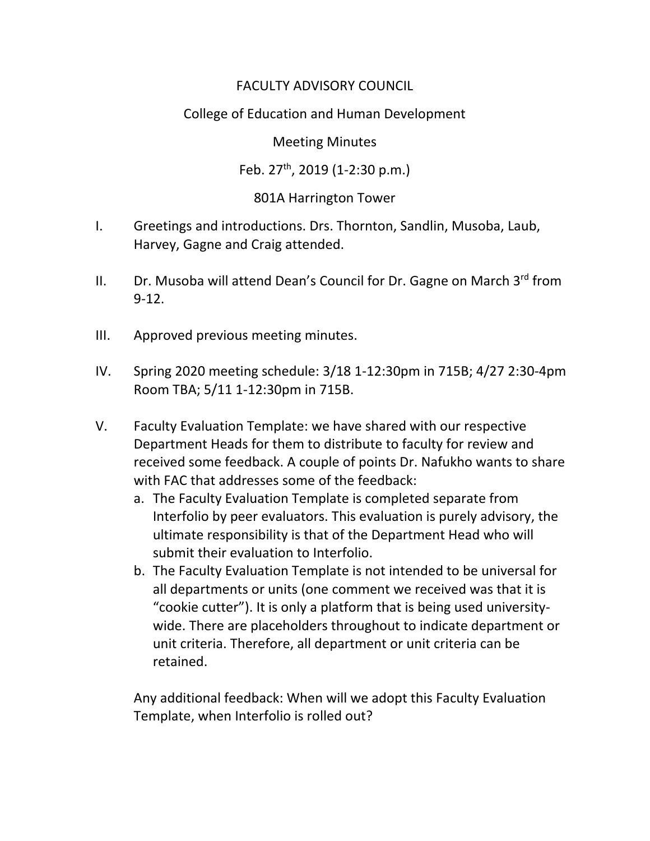## FACULTY ADVISORY COUNCIL

## College of Education and Human Development

Meeting Minutes

Feb.  $27^{th}$ , 2019 (1-2:30 p.m.)

## 801A Harrington Tower

- I. Greetings and introductions. Drs. Thornton, Sandlin, Musoba, Laub, Harvey, Gagne and Craig attended.
- II. Dr. Musoba will attend Dean's Council for Dr. Gagne on March 3rd from 9-12.
- III. Approved previous meeting minutes.
- IV. Spring 2020 meeting schedule: 3/18 1-12:30pm in 715B; 4/27 2:30-4pm Room TBA; 5/11 1-12:30pm in 715B.
- V. Faculty Evaluation Template: we have shared with our respective Department Heads for them to distribute to faculty for review and received some feedback. A couple of points Dr. Nafukho wants to share with FAC that addresses some of the feedback:
	- a. The Faculty Evaluation Template is completed separate from Interfolio by peer evaluators. This evaluation is purely advisory, the ultimate responsibility is that of the Department Head who will submit their evaluation to Interfolio.
	- b. The Faculty Evaluation Template is not intended to be universal for all departments or units (one comment we received was that it is "cookie cutter"). It is only a platform that is being used universitywide. There are placeholders throughout to indicate department or unit criteria. Therefore, all department or unit criteria can be retained.

Any additional feedback: When will we adopt this Faculty Evaluation Template, when Interfolio is rolled out?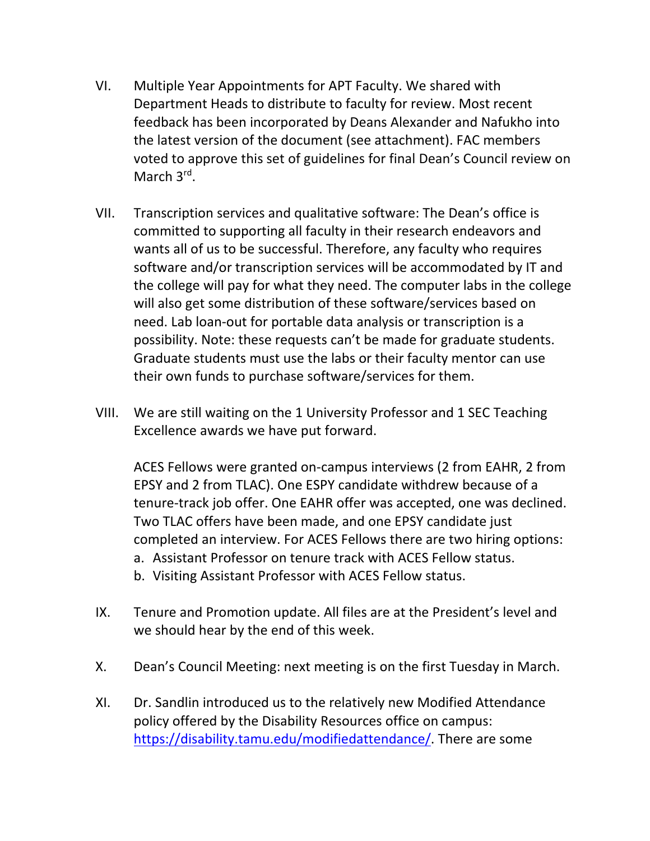- VI. Multiple Year Appointments for APT Faculty. We shared with Department Heads to distribute to faculty for review. Most recent feedback has been incorporated by Deans Alexander and Nafukho into the latest version of the document (see attachment). FAC members voted to approve this set of guidelines for final Dean's Council review on March 3<sup>rd</sup>.
- VII. Transcription services and qualitative software: The Dean's office is committed to supporting all faculty in their research endeavors and wants all of us to be successful. Therefore, any faculty who requires software and/or transcription services will be accommodated by IT and the college will pay for what they need. The computer labs in the college will also get some distribution of these software/services based on need. Lab loan-out for portable data analysis or transcription is a possibility. Note: these requests can't be made for graduate students. Graduate students must use the labs or their faculty mentor can use their own funds to purchase software/services for them.
- VIII. We are still waiting on the 1 University Professor and 1 SEC Teaching Excellence awards we have put forward.

ACES Fellows were granted on-campus interviews (2 from EAHR, 2 from EPSY and 2 from TLAC). One ESPY candidate withdrew because of a tenure-track job offer. One EAHR offer was accepted, one was declined. Two TLAC offers have been made, and one EPSY candidate just completed an interview. For ACES Fellows there are two hiring options: a. Assistant Professor on tenure track with ACES Fellow status.

- b. Visiting Assistant Professor with ACES Fellow status.
- IX. Tenure and Promotion update. All files are at the President's level and we should hear by the end of this week.
- X. Dean's Council Meeting: next meeting is on the first Tuesday in March.
- XI. Dr. Sandlin introduced us to the relatively new Modified Attendance policy offered by the Disability Resources office on campus: [https://disability.tamu.edu/modifiedattendance/.](https://disability.tamu.edu/modifiedattendance/) There are some